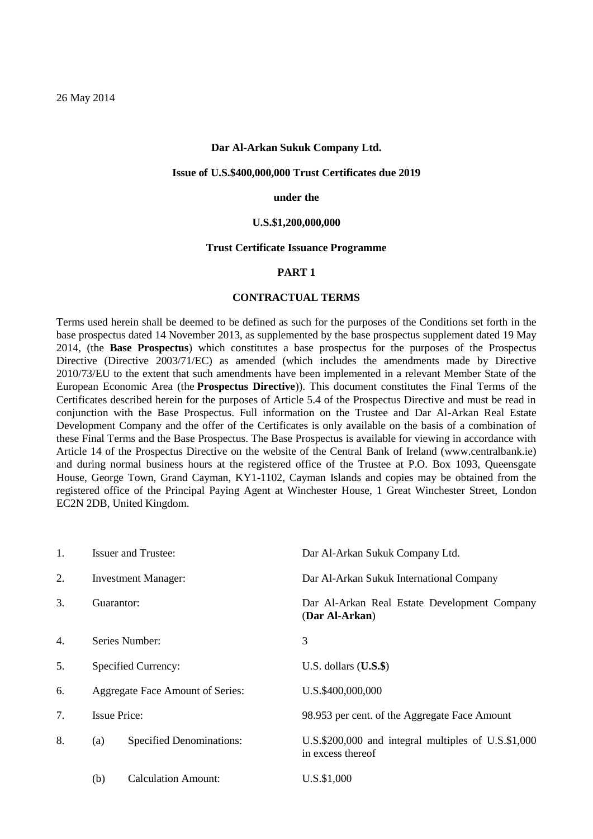### **Dar Al-Arkan Sukuk Company Ltd.**

### **Issue of U.S.\$400,000,000 Trust Certificates due 2019**

#### **under the**

#### **U.S.\$1,200,000,000**

### **Trust Certificate Issuance Programme**

### **PART 1**

## **CONTRACTUAL TERMS**

Terms used herein shall be deemed to be defined as such for the purposes of the Conditions set forth in the base prospectus dated 14 November 2013, as supplemented by the base prospectus supplement dated 19 May 2014, (the **Base Prospectus**) which constitutes a base prospectus for the purposes of the Prospectus Directive (Directive 2003/71/EC) as amended (which includes the amendments made by Directive 2010/73/EU to the extent that such amendments have been implemented in a relevant Member State of the European Economic Area (the **Prospectus Directive**)). This document constitutes the Final Terms of the Certificates described herein for the purposes of Article 5.4 of the Prospectus Directive and must be read in conjunction with the Base Prospectus. Full information on the Trustee and Dar Al-Arkan Real Estate Development Company and the offer of the Certificates is only available on the basis of a combination of these Final Terms and the Base Prospectus. The Base Prospectus is available for viewing in accordance with Article 14 of the Prospectus Directive on the website of the Central Bank of Ireland (www.centralbank.ie) and during normal business hours at the registered office of the Trustee at P.O. Box 1093, Queensgate House, George Town, Grand Cayman, KY1-1102, Cayman Islands and copies may be obtained from the registered office of the Principal Paying Agent at Winchester House, 1 Great Winchester Street, London EC2N 2DB, United Kingdom.

| 1. | <b>Issuer and Trustee:</b>              |                                 | Dar Al-Arkan Sukuk Company Ltd.                                              |  |  |
|----|-----------------------------------------|---------------------------------|------------------------------------------------------------------------------|--|--|
| 2. | <b>Investment Manager:</b>              |                                 | Dar Al-Arkan Sukuk International Company                                     |  |  |
| 3. | Guarantor:                              |                                 | Dar Al-Arkan Real Estate Development Company<br>(Dar Al-Arkan)               |  |  |
| 4. | Series Number:                          |                                 | 3                                                                            |  |  |
| 5. | <b>Specified Currency:</b>              |                                 | U.S. dollars $(U.S.$ \$)                                                     |  |  |
| 6. | <b>Aggregate Face Amount of Series:</b> |                                 | U.S.\$400,000,000                                                            |  |  |
| 7. | <b>Issue Price:</b>                     |                                 | 98.953 per cent. of the Aggregate Face Amount                                |  |  |
| 8. | (a)                                     | <b>Specified Denominations:</b> | U.S.\$200,000 and integral multiples of $U.S.\$ \$1,000<br>in excess thereof |  |  |
|    | (b)                                     | <b>Calculation Amount:</b>      | U.S.\$1,000                                                                  |  |  |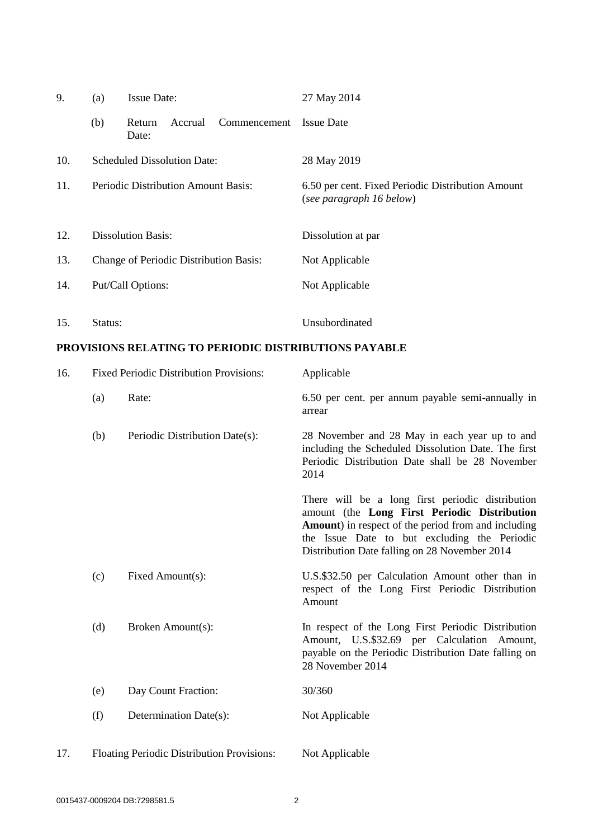| 9.  | (a)<br><b>Issue Date:</b>                      |                                    |              | 27 May 2014                                                                                                                                                     |  |  |
|-----|------------------------------------------------|------------------------------------|--------------|-----------------------------------------------------------------------------------------------------------------------------------------------------------------|--|--|
|     | (b)                                            | Return<br>Accrual<br>Date:         | Commencement | <b>Issue Date</b>                                                                                                                                               |  |  |
| 10. |                                                | <b>Scheduled Dissolution Date:</b> |              | 28 May 2019                                                                                                                                                     |  |  |
| 11. | Periodic Distribution Amount Basis:            |                                    |              | 6.50 per cent. Fixed Periodic Distribution Amount<br>(see paragraph 16 below)                                                                                   |  |  |
| 12. | <b>Dissolution Basis:</b>                      |                                    |              | Dissolution at par                                                                                                                                              |  |  |
| 13. | Change of Periodic Distribution Basis:         |                                    |              | Not Applicable                                                                                                                                                  |  |  |
| 14. | Put/Call Options:                              |                                    |              | Not Applicable                                                                                                                                                  |  |  |
| 15. | Status:                                        |                                    |              | Unsubordinated                                                                                                                                                  |  |  |
|     |                                                |                                    |              | PROVISIONS RELATING TO PERIODIC DISTRIBUTIONS PAYABLE                                                                                                           |  |  |
| 16. | <b>Fixed Periodic Distribution Provisions:</b> |                                    |              | Applicable                                                                                                                                                      |  |  |
|     | (a)                                            | Rate:                              |              | 6.50 per cent. per annum payable semi-annually in<br>arrear                                                                                                     |  |  |
|     | (b)                                            | Periodic Distribution Date(s):     |              | 28 November and 28 May in each year up to and<br>including the Scheduled Dissolution Date. The first<br>Periodic Distribution Date shall be 28 November<br>2014 |  |  |

There will be a long first periodic distribution amount (the **Long First Periodic Distribution Amount**) in respect of the period from and including the Issue Date to but excluding the Periodic Distribution Date falling on 28 November 2014

- (c) Fixed Amount(s): U.S.\$32.50 per Calculation Amount other than in respect of the Long First Periodic Distribution Amount
- (d) Broken Amount(s): In respect of the Long First Periodic Distribution Amount, U.S.\$32.69 per Calculation Amount, payable on the Periodic Distribution Date falling on 28 November 2014
- (e) Day Count Fraction: 30/360
- (f) Determination Date(s): Not Applicable
- 17. Floating Periodic Distribution Provisions: Not Applicable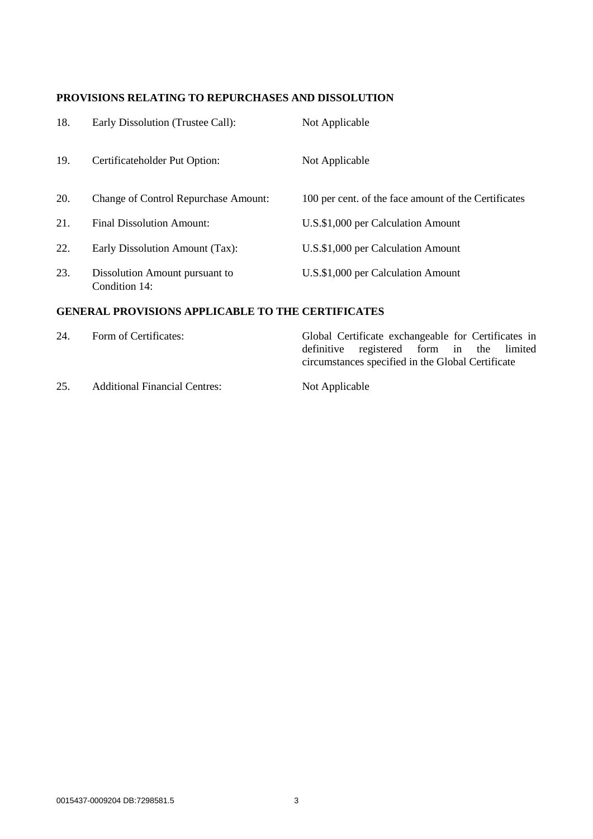# **PROVISIONS RELATING TO REPURCHASES AND DISSOLUTION**

| 18. | Early Dissolution (Trustee Call):               | Not Applicable                                       |
|-----|-------------------------------------------------|------------------------------------------------------|
| 19. | Certificateholder Put Option:                   | Not Applicable                                       |
| 20. | <b>Change of Control Repurchase Amount:</b>     | 100 per cent. of the face amount of the Certificates |
| 21. | <b>Final Dissolution Amount:</b>                | U.S.\$1,000 per Calculation Amount                   |
| 22. | Early Dissolution Amount (Tax):                 | U.S.\$1,000 per Calculation Amount                   |
| 23. | Dissolution Amount pursuant to<br>Condition 14: | U.S.\$1,000 per Calculation Amount                   |

# **GENERAL PROVISIONS APPLICABLE TO THE CERTIFICATES**

| 24. | Form of Certificates:                | Global Certificate exchangeable for Certificates in                                            |  |  |  |  |
|-----|--------------------------------------|------------------------------------------------------------------------------------------------|--|--|--|--|
|     |                                      | definitive registered form in the limited<br>circumstances specified in the Global Certificate |  |  |  |  |
| 25. | <b>Additional Financial Centres:</b> | Not Applicable                                                                                 |  |  |  |  |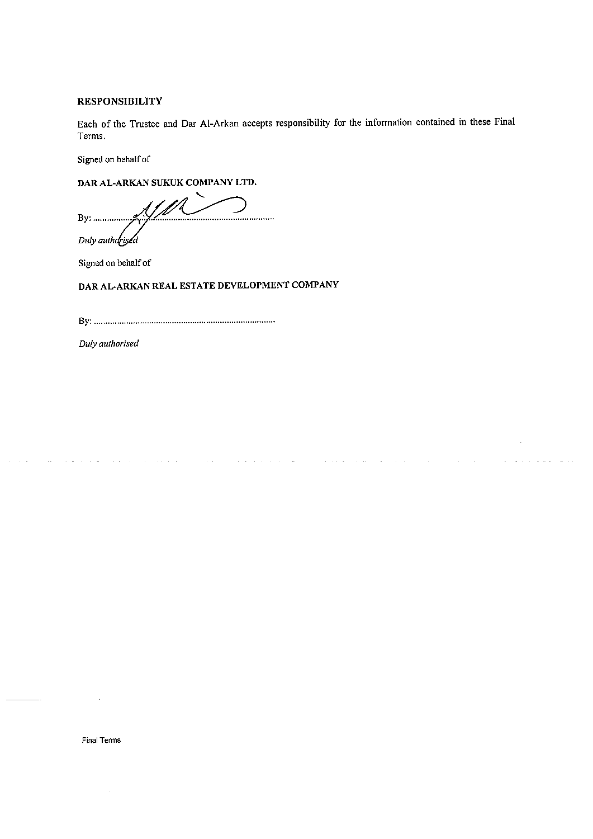### **RESPONSIBILITY**

Each of the Trustee and Dar Al-Arkan accepts responsibility for the information contained in these Final Terms.

Signed on behalf of

DAR AL-ARKAN SUKUK COMPANY LTD.

. . . . . . . . Duly authorised

Signed on behalf of

# DAR AL-ARKAN REAL ESTATE DEVELOPMENT COMPANY

and a straight and start

and a straight

**Carl Corporation** 

Duly authorised

 $\sim$ 

 $\mathbb{R}^2$ 

Final Terms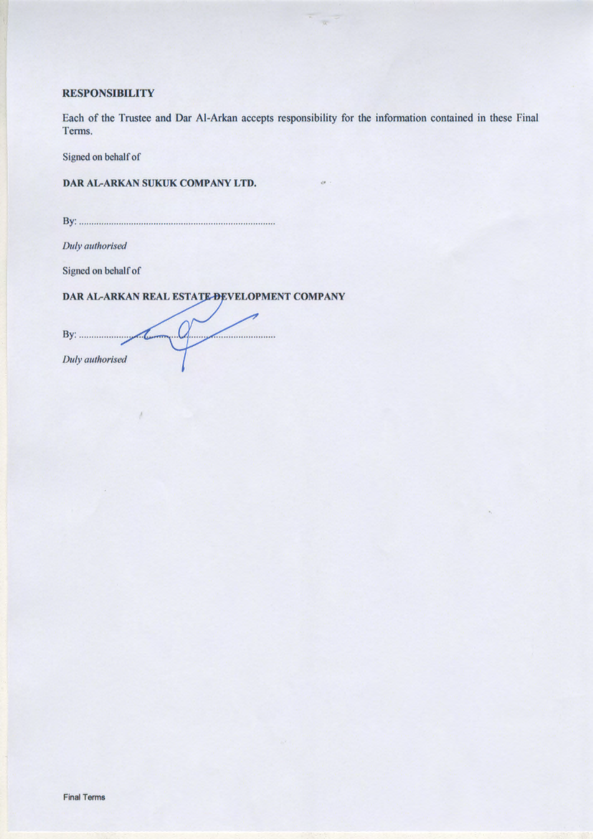# **RESPONSIBILITY**

Each of the Trustee and Dar Al-Arkan accepts responsibility for the information contained in these Final Terms.

÷

Signed on behalf of

DAR AL-ARKAN SUKUK COMPANY LTD.

Duly authorised

Signed on behalf of

## DAR AL-ARKAN REAL ESTATE-DEVELOPMENT COMPANY

 $By:$   $\sim$ Duly authorised

 $\lambda$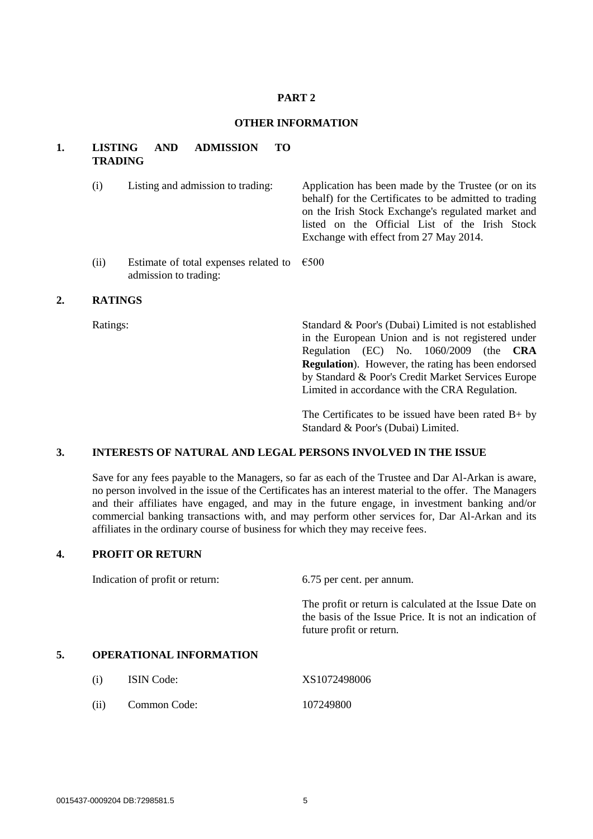### **PART 2**

### **OTHER INFORMATION**

# **1. LISTING AND ADMISSION TO TRADING**

| (i)  | Listing and admission to trading:                                             | Application has been made by the Trustee (or on its<br>behalf) for the Certificates to be admitted to trading<br>on the Irish Stock Exchange's regulated market and<br>listed on the Official List of the Irish Stock<br>Exchange with effect from 27 May 2014. |  |  |  |  |
|------|-------------------------------------------------------------------------------|-----------------------------------------------------------------------------------------------------------------------------------------------------------------------------------------------------------------------------------------------------------------|--|--|--|--|
| (ii) | Estimate of total expenses related to $\epsilon$ 500<br>admission to trading: |                                                                                                                                                                                                                                                                 |  |  |  |  |

## **2. RATINGS**

Ratings: Standard & Poor's (Dubai) Limited is not established in the European Union and is not registered under Regulation (EC) No. 1060/2009 (the **CRA Regulation**). However, the rating has been endorsed by Standard & Poor's Credit Market Services Europe Limited in accordance with the CRA Regulation.

> The Certificates to be issued have been rated  $B+ by$ Standard & Poor's (Dubai) Limited.

# **3. INTERESTS OF NATURAL AND LEGAL PERSONS INVOLVED IN THE ISSUE**

Save for any fees payable to the Managers, so far as each of the Trustee and Dar Al-Arkan is aware, no person involved in the issue of the Certificates has an interest material to the offer. The Managers and their affiliates have engaged, and may in the future engage, in investment banking and/or commercial banking transactions with, and may perform other services for, Dar Al-Arkan and its affiliates in the ordinary course of business for which they may receive fees.

## **4. PROFIT OR RETURN**

Indication of profit or return: 6.75 per cent. per annum.

The profit or return is calculated at the Issue Date on the basis of the Issue Price. It is not an indication of future profit or return.

#### **5. OPERATIONAL INFORMATION**

(i) ISIN Code: XS1072498006 (ii) Common Code: 107249800